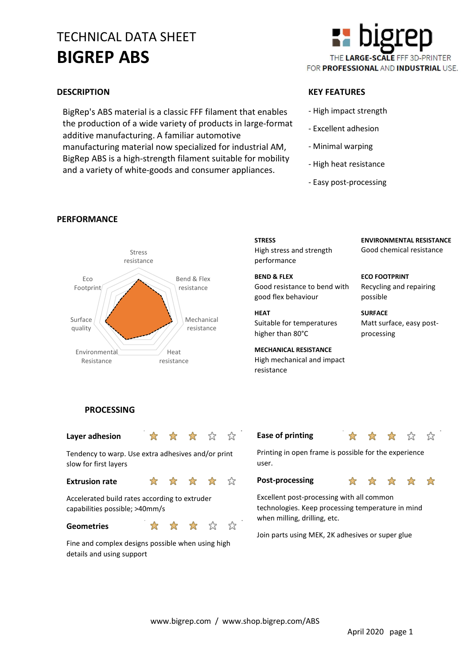# TECHNICAL DATA SHEET BIGREP ABS

BigRep's ABS material is a classic FFF filament that enables the production of a wide variety of products in large-format additive manufacturing. A familiar automotive manufacturing material now specialized for industrial AM, BigRep ABS is a high-strength filament suitable for mobility and a variety of white-goods and consumer appliances.



# DESCRIPTION KEY FEATURES

- High impact strength
- Excellent adhesion
- Minimal warping
- High heat resistance
- Easy post-processing



# PERFORMANCE

# **STRESS** High stress and strength performance

BEND & FLEX resistance **Good resistance to bend with** good flex behaviour

#### HEAT

Suitable for temperatures higher than 80°C

MECHANICAL RESISTANCE resistance **High mechanical and impact** resistance

ENVIRONMENTAL RESISTANCE Good chemical resistance

ECO FOOTPRINT Recycling and repairing possible

**SURFACE** Matt surface, easy postprocessing

# **PROCESSING**

### Layer adhesion  $\mathbb{R}$

 $\sum_{i=1}^{n}$ 

- 23

⊀

☆

☆

Tendency to warp. Use extra adhesives and/or print slow for first layers

#### Extrusion rate the state of the state of the state of the state of the state of the state of the state of the state of the state of the state of the state of the state of the state of the state of the state of the state of

Accelerated build rates according to extruder capabilities possible; >40mm/s

## Geometries **\*** \* \*

details and using support

⊰≿ 45 Fine and complex designs possible when using high

### Ease of printing  $\qquad \qquad \star$



Printing in open frame is possible for the experience user.

Post-processing  $\frac{1}{2}$   $\frac{1}{2}$   $\frac{1}{2}$   $\frac{1}{2}$ 

Excellent post-processing with all common technologies. Keep processing temperature in mind when milling, drilling, etc.

Join parts using MEK, 2K adhesives or super glue